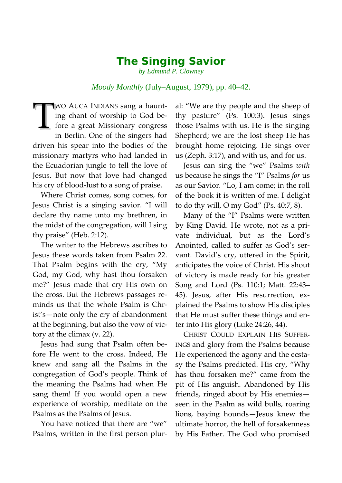## *The Singing Savior*

*by Edmund P. Clowney*

## *Moody Monthly* (July–August, 1979), pp. 40–42.

WO AUCA INDIANS sang a haunting chant of worship to God before a great Missionary congress in Berlin. One of the singers had driven his spear into the bodies of the missionary martyrs who had landed in the Ecuadorian jungle to tell the love of Jesus. But now that love had changed his cry of blood-lust to a song of praise.  $\mathbf{T}$ 

Where Christ comes, song comes, for Jesus Christ is a singing savior. "I will declare thy name unto my brethren, in the midst of the congregation, will I sing thy praise" (Heb. 2:12).

The writer to the Hebrews ascribes to Jesus these words taken from Psalm 22. That Psalm begins with the cry, "My God, my God, why hast thou forsaken me?" Jesus made that cry His own on the cross. But the Hebrews passages reminds us that the whole Psalm is Christ's—note only the cry of abandonment at the beginning, but also the vow of victory at the climax (v. 22).

Jesus had sung that Psalm often before He went to the cross. Indeed, He knew and sang all the Psalms in the congregation of God's people. Think of the meaning the Psalms had when He sang them! If you would open a new experience of worship, meditate on the Psalms as the Psalms of Jesus.

You have noticed that there are "we" Psalms, written in the first person plur-

al: "We are thy people and the sheep of thy pasture" (Ps. 100:3). Jesus sings those Psalms with us. He is the singing Shepherd; we are the lost sheep He has brought home rejoicing. He sings over us (Zeph. 3:17), and with us, and for us.

Jesus can sing the "we" Psalms *with* us because he sings the "I" Psalms *for* us as our Savior. "Lo, I am come; in the roll of the book it is written of me. I delight to do thy will, O my God" (Ps. 40:7, 8).

Many of the "I" Psalms were written by King David. He wrote, not as a private individual, but as the Lord's Anointed, called to suffer as God's servant. David's cry, uttered in the Spirit, anticipates the voice of Christ. His shout of victory is made ready for his greater Song and Lord (Ps. 110:1; Matt. 22:43– 45). Jesus, after His resurrection, explained the Psalms to show His disciples that He must suffer these things and enter into His glory (Luke 24:26, 44).

CHRIST COULD EXPLAIN HIS SUFFER-INGS and glory from the Psalms because He experienced the agony and the ecstasy the Psalms predicted. His cry, "Why has thou forsaken me?" came from the pit of His anguish. Abandoned by His friends, ringed about by His enemies seen in the Psalm as wild bulls, roaring lions, baying hounds—Jesus knew the ultimate horror, the hell of forsakenness by His Father. The God who promised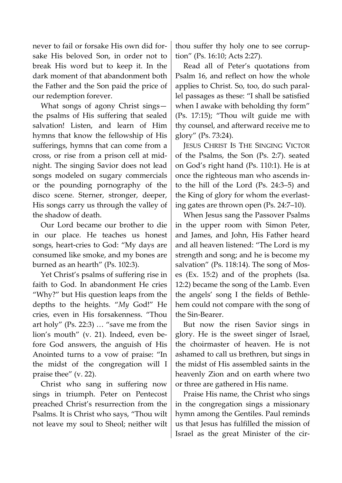never to fail or forsake His own did forsake His beloved Son, in order not to break His word but to keep it. In the dark moment of that abandonment both the Father and the Son paid the price of our redemption forever.

What songs of agony Christ sings the psalms of His suffering that sealed salvation! Listen, and learn of Him hymns that know the fellowship of His sufferings, hymns that can come from a cross, or rise from a prison cell at midnight. The singing Savior does not lead songs modeled on sugary commercials or the pounding pornography of the disco scene. Sterner, stronger, deeper, His songs carry us through the valley of the shadow of death.

Our Lord became our brother to die in our place. He teaches us honest songs, heart-cries to God: "My days are consumed like smoke, and my bones are burned as an hearth" (Ps. 102:3).

Yet Christ's psalms of suffering rise in faith to God. In abandonment He cries "Why?" but His question leaps from the depths to the heights. "*My* God!" He cries, even in His forsakenness. "Thou art holy" (Ps. 22:3) … "save me from the lion's mouth" (v. 21). Indeed, even before God answers, the anguish of His Anointed turns to a vow of praise: "In the midst of the congregation will I praise thee" (v. 22).

Christ who sang in suffering now sings in triumph. Peter on Pentecost preached Christ's resurrection from the Psalms. It is Christ who says, "Thou wilt not leave my soul to Sheol; neither wilt thou suffer thy holy one to see corruption" (Ps. 16:10; Acts 2:27).

Read all of Peter's quotations from Psalm 16, and reflect on how the whole applies to Christ. So, too, do such parallel passages as these: "I shall be satisfied when I awake with beholding thy form" (Ps. 17:15); "Thou wilt guide me with thy counsel, and afterward receive me to glory" (Ps. 73:24).

JESUS CHRIST IS THE SINGING VICTOR of the Psalms, the Son (Ps. 2:7). seated on God's right hand (Ps. 110:1). He is at once the righteous man who ascends into the hill of the Lord (Ps. 24:3–5) and the King of glory for whom the everlasting gates are thrown open (Ps. 24:7–10).

When Jesus sang the Passover Psalms in the upper room with Simon Peter, and James, and John, His Father heard and all heaven listened: "The Lord is my strength and song; and he is become my salvation" (Ps. 118:14). The song of Moses (Ex. 15:2) and of the prophets (Isa. 12:2) became the song of the Lamb. Even the angels' song I the fields of Bethlehem could not compare with the song of the Sin-Bearer.

But now the risen Savior sings in glory. He is the sweet singer of Israel, the choirmaster of heaven. He is not ashamed to call us brethren, but sings in the midst of His assembled saints in the heavenly Zion and on earth where two or three are gathered in His name.

Praise His name, the Christ who sings in the congregation sings a missionary hymn among the Gentiles. Paul reminds us that Jesus has fulfilled the mission of Israel as the great Minister of the cir-